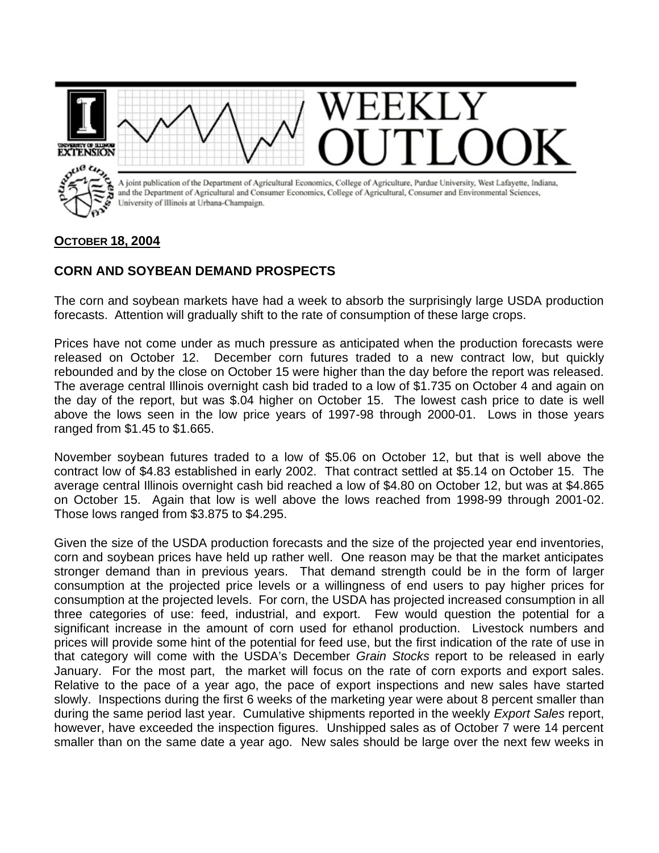

## **OCTOBER 18, 2004**

## **CORN AND SOYBEAN DEMAND PROSPECTS**

The corn and soybean markets have had a week to absorb the surprisingly large USDA production forecasts. Attention will gradually shift to the rate of consumption of these large crops.

Prices have not come under as much pressure as anticipated when the production forecasts were released on October 12. December corn futures traded to a new contract low, but quickly rebounded and by the close on October 15 were higher than the day before the report was released. The average central Illinois overnight cash bid traded to a low of \$1.735 on October 4 and again on the day of the report, but was \$.04 higher on October 15. The lowest cash price to date is well above the lows seen in the low price years of 1997-98 through 2000-01. Lows in those years ranged from \$1.45 to \$1.665.

November soybean futures traded to a low of \$5.06 on October 12, but that is well above the contract low of \$4.83 established in early 2002. That contract settled at \$5.14 on October 15. The average central Illinois overnight cash bid reached a low of \$4.80 on October 12, but was at \$4.865 on October 15. Again that low is well above the lows reached from 1998-99 through 2001-02. Those lows ranged from \$3.875 to \$4.295.

Given the size of the USDA production forecasts and the size of the projected year end inventories, corn and soybean prices have held up rather well. One reason may be that the market anticipates stronger demand than in previous years. That demand strength could be in the form of larger consumption at the projected price levels or a willingness of end users to pay higher prices for consumption at the projected levels. For corn, the USDA has projected increased consumption in all three categories of use: feed, industrial, and export. Few would question the potential for a significant increase in the amount of corn used for ethanol production. Livestock numbers and prices will provide some hint of the potential for feed use, but the first indication of the rate of use in that category will come with the USDA's December *Grain Stocks* report to be released in early January. For the most part, the market will focus on the rate of corn exports and export sales. Relative to the pace of a year ago, the pace of export inspections and new sales have started slowly. Inspections during the first 6 weeks of the marketing year were about 8 percent smaller than during the same period last year. Cumulative shipments reported in the weekly *Export Sales* report, however, have exceeded the inspection figures. Unshipped sales as of October 7 were 14 percent smaller than on the same date a year ago. New sales should be large over the next few weeks in